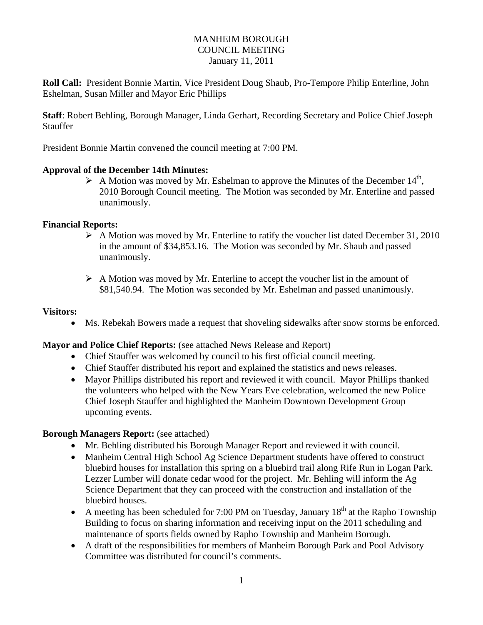## MANHEIM BOROUGH COUNCIL MEETING January 11, 2011

**Roll Call:** President Bonnie Martin, Vice President Doug Shaub, Pro-Tempore Philip Enterline, John Eshelman, Susan Miller and Mayor Eric Phillips

**Staff**: Robert Behling, Borough Manager, Linda Gerhart, Recording Secretary and Police Chief Joseph Stauffer

President Bonnie Martin convened the council meeting at 7:00 PM.

### **Approval of the December 14th Minutes:**

 $\triangleright$  A Motion was moved by Mr. Eshelman to approve the Minutes of the December 14<sup>th</sup>, 2010 Borough Council meeting. The Motion was seconded by Mr. Enterline and passed unanimously.

### **Financial Reports:**

- A Motion was moved by Mr. Enterline to ratify the voucher list dated December 31, 2010 in the amount of \$34,853.16. The Motion was seconded by Mr. Shaub and passed unanimously.
- $\triangleright$  A Motion was moved by Mr. Enterline to accept the voucher list in the amount of \$81,540.94. The Motion was seconded by Mr. Eshelman and passed unanimously.

#### **Visitors:**

Ms. Rebekah Bowers made a request that shoveling sidewalks after snow storms be enforced.

## **Mayor and Police Chief Reports:** (see attached News Release and Report)

- Chief Stauffer was welcomed by council to his first official council meeting.
- Chief Stauffer distributed his report and explained the statistics and news releases.
- Mayor Phillips distributed his report and reviewed it with council. Mayor Phillips thanked the volunteers who helped with the New Years Eve celebration, welcomed the new Police Chief Joseph Stauffer and highlighted the Manheim Downtown Development Group upcoming events.

#### **Borough Managers Report:** (see attached)

- Mr. Behling distributed his Borough Manager Report and reviewed it with council.
- Manheim Central High School Ag Science Department students have offered to construct bluebird houses for installation this spring on a bluebird trail along Rife Run in Logan Park. Lezzer Lumber will donate cedar wood for the project. Mr. Behling will inform the Ag Science Department that they can proceed with the construction and installation of the bluebird houses.
- A meeting has been scheduled for 7:00 PM on Tuesday, January  $18<sup>th</sup>$  at the Rapho Township Building to focus on sharing information and receiving input on the 2011 scheduling and maintenance of sports fields owned by Rapho Township and Manheim Borough.
- A draft of the responsibilities for members of Manheim Borough Park and Pool Advisory Committee was distributed for council's comments.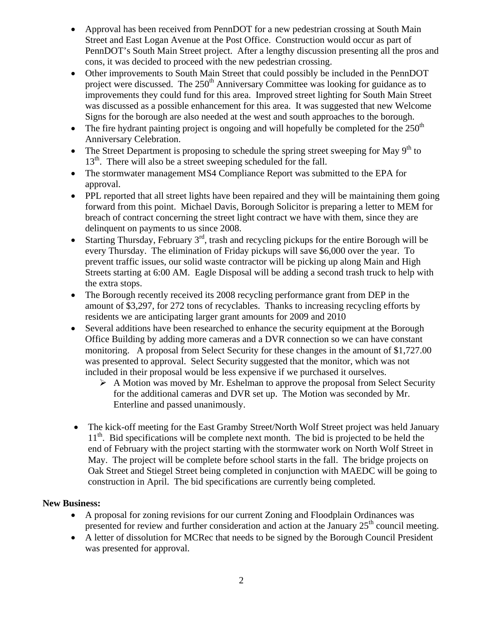- Approval has been received from PennDOT for a new pedestrian crossing at South Main Street and East Logan Avenue at the Post Office. Construction would occur as part of PennDOT's South Main Street project. After a lengthy discussion presenting all the pros and cons, it was decided to proceed with the new pedestrian crossing.
- Other improvements to South Main Street that could possibly be included in the PennDOT project were discussed. The  $250<sup>th</sup>$  Anniversary Committee was looking for guidance as to improvements they could fund for this area. Improved street lighting for South Main Street was discussed as a possible enhancement for this area. It was suggested that new Welcome Signs for the borough are also needed at the west and south approaches to the borough.
- The fire hydrant painting project is ongoing and will hopefully be completed for the  $250<sup>th</sup>$ Anniversary Celebration.
- The Street Department is proposing to schedule the spring street sweeping for May  $9<sup>th</sup>$  to  $13<sup>th</sup>$ . There will also be a street sweeping scheduled for the fall.
- The stormwater management MS4 Compliance Report was submitted to the EPA for approval.
- PPL reported that all street lights have been repaired and they will be maintaining them going forward from this point. Michael Davis, Borough Solicitor is preparing a letter to MEM for breach of contract concerning the street light contract we have with them, since they are delinquent on payments to us since 2008.
- Starting Thursday, February  $3<sup>rd</sup>$ , trash and recycling pickups for the entire Borough will be every Thursday. The elimination of Friday pickups will save \$6,000 over the year. To prevent traffic issues, our solid waste contractor will be picking up along Main and High Streets starting at 6:00 AM. Eagle Disposal will be adding a second trash truck to help with the extra stops.
- The Borough recently received its 2008 recycling performance grant from DEP in the amount of \$3,297, for 272 tons of recyclables. Thanks to increasing recycling efforts by residents we are anticipating larger grant amounts for 2009 and 2010
- Several additions have been researched to enhance the security equipment at the Borough Office Building by adding more cameras and a DVR connection so we can have constant monitoring. A proposal from Select Security for these changes in the amount of \$1,727.00 was presented to approval. Select Security suggested that the monitor, which was not included in their proposal would be less expensive if we purchased it ourselves.
	- $\triangleright$  A Motion was moved by Mr. Eshelman to approve the proposal from Select Security for the additional cameras and DVR set up. The Motion was seconded by Mr. Enterline and passed unanimously.
- The kick-off meeting for the East Gramby Street/North Wolf Street project was held January 11<sup>th</sup>. Bid specifications will be complete next month. The bid is projected to be held the end of February with the project starting with the stormwater work on North Wolf Street in May. The project will be complete before school starts in the fall. The bridge projects on Oak Street and Stiegel Street being completed in conjunction with MAEDC will be going to construction in April. The bid specifications are currently being completed.

# **New Business:**

- A proposal for zoning revisions for our current Zoning and Floodplain Ordinances was presented for review and further consideration and action at the January 25<sup>th</sup> council meeting.
- A letter of dissolution for MCRec that needs to be signed by the Borough Council President was presented for approval.